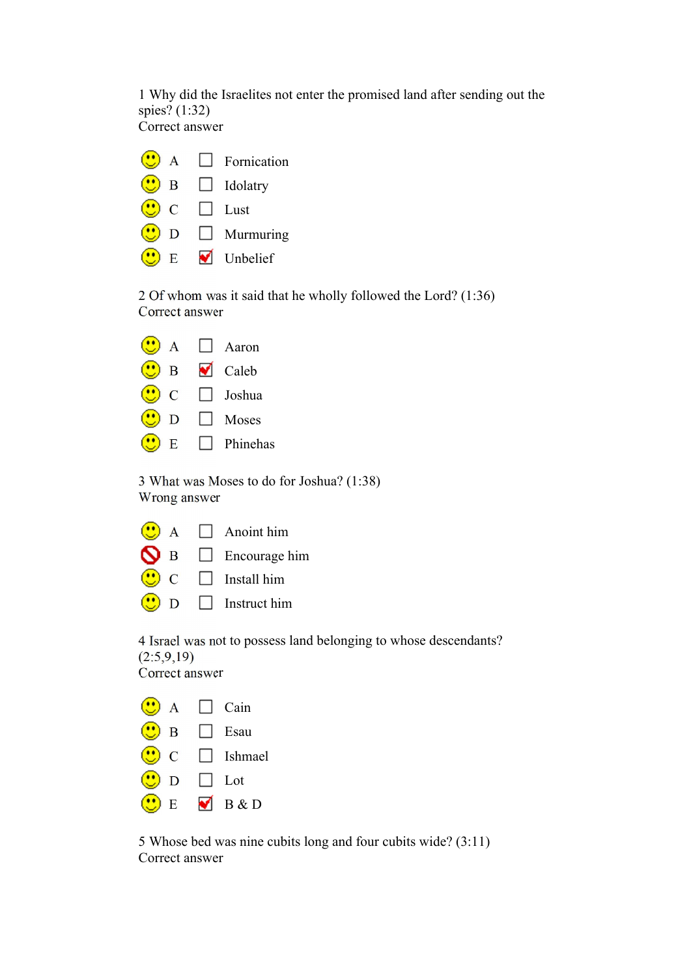1 Why did the Israelites not enter the promised land after sending out the spies? (1:32) Correct answer

| $\mathbf{A}$  |   | $\Box$ Fornication |
|---------------|---|--------------------|
| B             |   | $\Box$ Idolatry    |
| $\mathcal{C}$ |   | Lust               |
| D             |   | $\Box$ Murmuring   |
| E             | ✔ | Unbelief           |

2 Of whom was it said that he wholly followed the Lord? (1:36) Correct answer

| A             | Aaron                       |
|---------------|-----------------------------|
| B             | $\blacktriangleright$ Caleb |
| $\mathcal{C}$ | $\Box$ Joshua               |
| D             | Moses                       |
| E             | $\Box$ Phinehas             |

3 What was Moses to do for Joshua? (1:38) Wrong answer

|                | $\mathbf{A}$  | $\Box$ Anoint him    |
|----------------|---------------|----------------------|
| N <sub>B</sub> |               | $\Box$ Encourage him |
|                | $\mathcal{C}$ | Install him          |
|                | D             | $\Box$ Instruct him  |

4 Israel was not to possess land belonging to whose descendants?  $(2:5,9,19)$ Correct answer

| $\mathbf{A}$ |                      | Cain           |
|--------------|----------------------|----------------|
| B            |                      | ∣∣ Esau        |
| $\mathsf{C}$ |                      | $\Box$ Ishmael |
| D            |                      | $\Box$ Lot     |
| E            | $\blacktriangledown$ | B & D          |

5 Whose bed was nine cubits long and four cubits wide? (3:11) Correct answer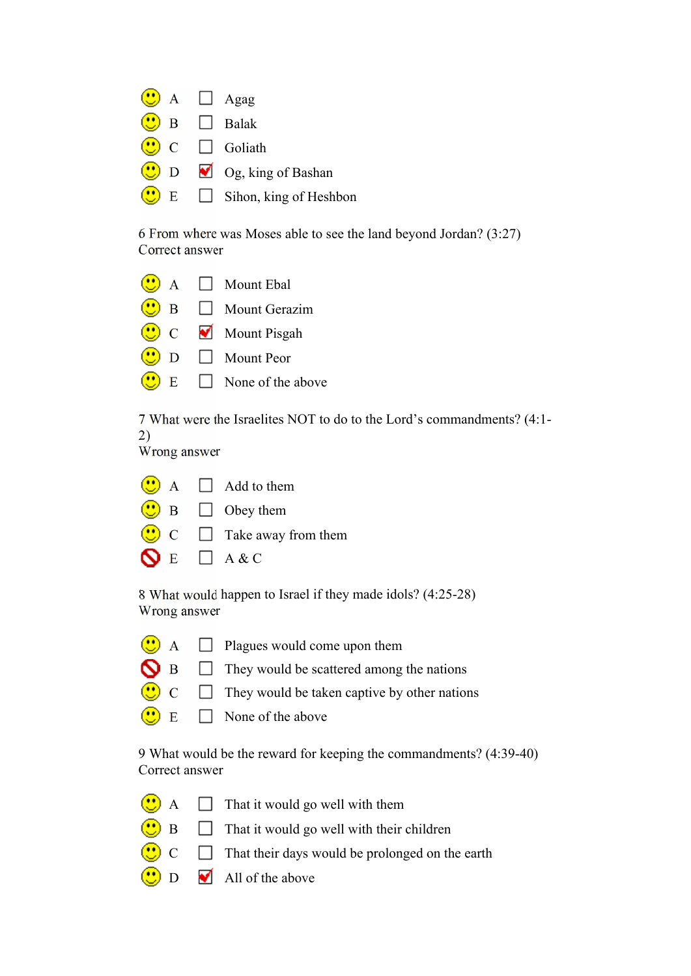| $\left(\begin{array}{c}\bullet\bullet\end{array}\right)$ A $\Box$ Agag          |                                            |
|---------------------------------------------------------------------------------|--------------------------------------------|
| $\bigcirc$ B $\Box$ Balak                                                       |                                            |
| $\left(\begin{array}{c} \bullet \\ \bullet \end{array}\right)$ C $\Box$ Goliath |                                            |
|                                                                                 | $\bigcirc$ D $\bigcirc$ Og, king of Bashan |
|                                                                                 | $\bigcirc$ E Sihon, king of Heshbon        |

6 From where was Moses able to see the land beyond Jordan? (3:27) Correct answer

|   |   | $\left(\begin{array}{c}\bullet\bullet\end{array}\right)$ A $\Box$ Mount Ebal |
|---|---|------------------------------------------------------------------------------|
| B |   | $\Box$ Mount Gerazim                                                         |
|   |   | $\bigcirc$ C Mount Pisgah                                                    |
| D |   | Mount Peor                                                                   |
|   | E | $\Box$ None of the above                                                     |

7 What were the Israelites NOT to do to the Lord's commandments? (4:1- 2)

Wrong answer

|                           | $\bigcup_{A} A$ $\Box$ Add to them                                                           |
|---------------------------|----------------------------------------------------------------------------------------------|
|                           | $\bigcirc$ B $\Box$ Obey them                                                                |
|                           | $\left(\begin{array}{c}\bullet\bullet\bullet\end{array}\right)$ C $\Box$ Take away from them |
| $\bigcirc$ E $\Box$ A & C |                                                                                              |

8 What would happen to Israel if they made idols? (4:25-28) Wrong answer

- $\overline{\bullet}$  A  $\Box$  Plagues would come upon them
- $\bigcirc$  B  $\Box$  They would be scattered among the nations
- $\bigodot$  $\Box$  They would be taken captive by other nations
- $\overline{\mathbf{E}}$  E  $\Box$  None of the above

9 What would be the reward for keeping the commandments? (4:39-40) Correct answer

- $\circ$  $\Box$  That it would go well with them
- $\bigcirc$  B  $\Box$  That it would go well with their children
- $\begin{array}{ccc} \hline \text{C} & \text{I} \end{array}$  That their days would be prolonged on the earth
- $\Box$   $\Box$  All of the above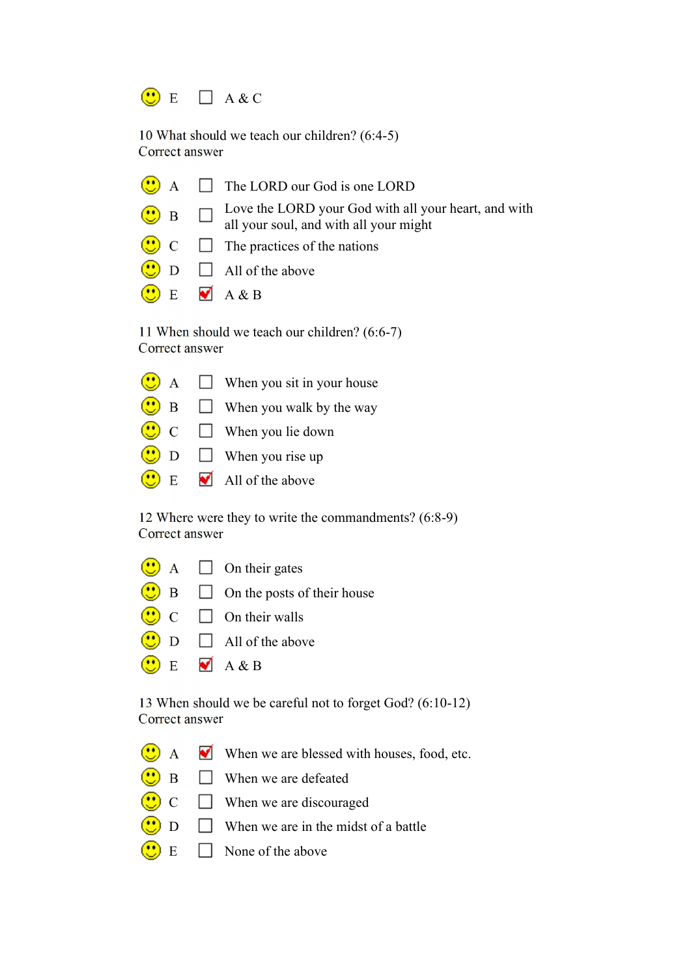

10 What should we teach our children? (6:4-5) Correct answer

 $\bigodot$  A  $\Box$  The LORD our God is one LORD Love the LORD your God with all your heart, and with  $\bigodot$  B  $\Box$ all your soul, and with all your might  $\Box$  The practices of the nations  $\bullet$  $\Box$  All of the above  $\bullet$  E  $\blacksquare$  A & B

11 When should we teach our children? (6:6-7) Correct answer

|  | $\bigcirc$ A $\Box$ When you sit in your house           |
|--|----------------------------------------------------------|
|  | $\left(\bullet\right)$ B $\Box$ When you walk by the way |
|  | $\bigcirc$ C $\Box$ When you lie down                    |
|  | $\bigcirc$ D $\Box$ When you rise up                     |
|  | $\bullet$ E M All of the above                           |
|  |                                                          |

12 Where were they to write the commandments? (6:8-9) Correct answer

|  | $\bigcirc$ A $\Box$ On their gates                      |
|--|---------------------------------------------------------|
|  | $\bigcirc$ B $\Box$ On the posts of their house         |
|  | $\bigcirc$ C $\Box$ On their walls                      |
|  | $\sqrt{10}$ $\approx$ $\sqrt{2}$ $\sqrt{10}$ $\sqrt{2}$ |

- $\left(\begin{array}{c}\bullet\bullet\bullet\bullet\end{array}\right)$  D  $\Box$  All of the above
- $\bigodot$  E  $\blacksquare$  A & B

13 When should we be careful not to forget God? (6:10-12) Correct answer

- $\bigodot$  A When we are blessed with houses, food, etc.
- $\overline{\bigcirc}$  B  $\Box$  When we are defeated
- $\bigodot$  C  $\Box$  When we are discouraged
- $\Box$  When we are in the midst of a battle
- $\bullet$  $E \Box$  None of the above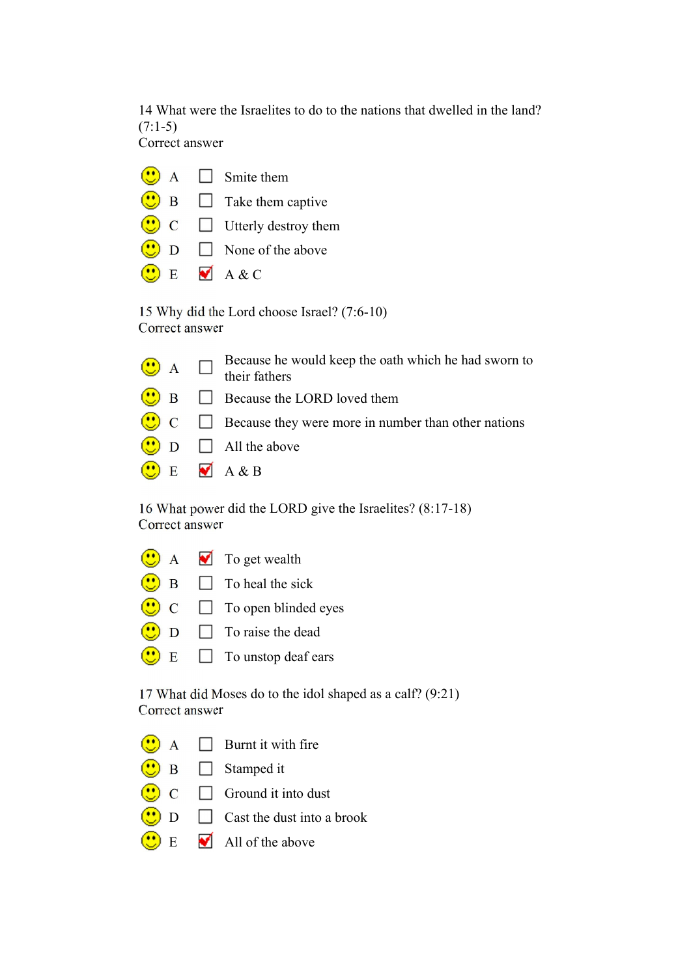14 What were the Israelites to do to the nations that dwelled in the land?  $(7:1-5)$ Correct answer

|  | $\bigcirc$ A $\Box$ Smite them                             |
|--|------------------------------------------------------------|
|  | $\bigcirc$ B $\Box$ Take them captive                      |
|  | $\left(\frac{1}{2}\right)$ C $\qquad$ Utterly destroy them |
|  | $\bigcirc$ D $\Box$ None of the above                      |
|  | $\bullet$ E $\bullet$ A & C                                |

15 Why did the Lord choose Israel? (7:6-10) Correct answer

|  | $\bigcirc$ A $\Box$ Because he would keep the oath which he had sworn to their fathers |
|--|----------------------------------------------------------------------------------------|
|  | $\bigcirc$ B $\Box$ Because the LORD loved them                                        |
|  | $\bigcirc$ C $\Box$ Because they were more in number than other nations                |
|  | $\bigcirc$ D $\Box$ All the above                                                      |
|  | $\bigcirc$ E $\blacksquare$ A & B                                                      |

16 What power did the LORD give the Israelites? (8:17-18) Correct answer

|                | $A \bullet$ To get wealth                                                                    |
|----------------|----------------------------------------------------------------------------------------------|
|                | $\overline{B}$ $\overline{D}$ To heal the sick                                               |
|                | $\left(\begin{array}{c} \bullet \\ \bullet \end{array}\right)$ C $\Box$ To open blinded eyes |
| $\overline{D}$ | $\Box$ To raise the dead                                                                     |
|                | $\mathbb{E}$ $\Box$ To unstop deaf ears                                                      |

17 What did Moses do to the idol shaped as a calf? (9:21) Correct answer

- $\bigodot$  A  $\Box$  Burnt it with fire
- $\bigcirc$  B  $\Box$  Stamped it
- $\bigodot$  C  $\Box$  Ground it into dust
- $\overline{\bullet}$  D  $\Box$  Cast the dust into a brook
- $\bullet$  E  $\bullet$  All of the above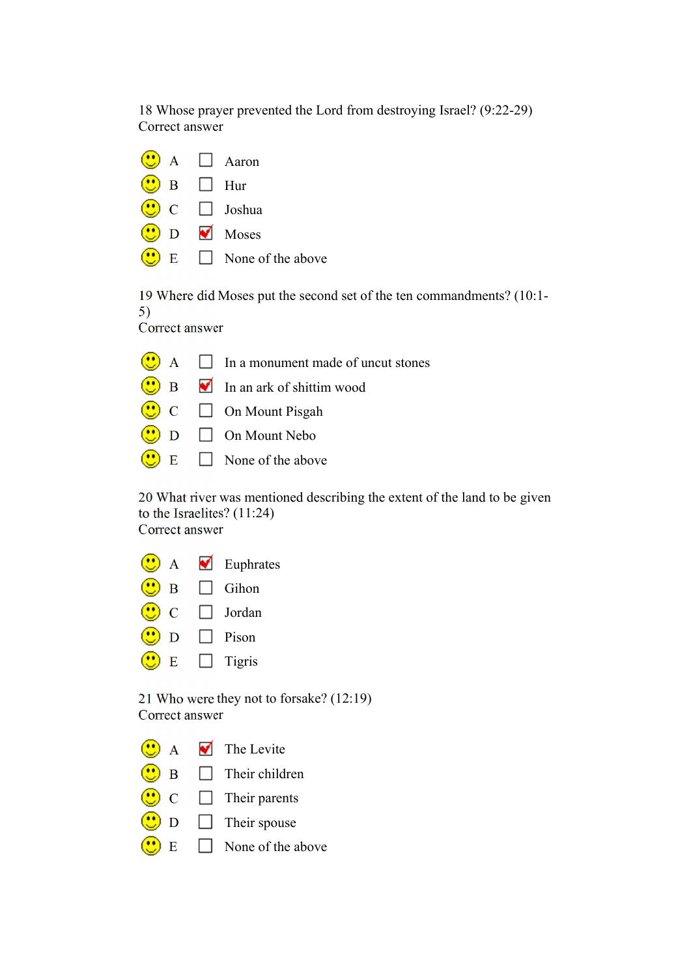18 Whose prayer prevented the Lord from destroying Israel? (9:22-29) Correct answer

|                         | $\left(\begin{array}{c}\bullet\bullet\bullet\end{array}\right)$ A $\Box$ Aaron |
|-------------------------|--------------------------------------------------------------------------------|
| $\bigcirc$ B $\Box$ Hur |                                                                                |
|                         | $\bigcirc$ C $\Box$ Joshua                                                     |
|                         | $\bigcirc$ D Moses                                                             |
|                         | $\binom{1}{2}$ E $\Box$ None of the above                                      |

19 Where did Moses put the second set of the ten commandments? (10:1- 5) Correct answer

|  | $\bigcirc$ A $\Box$ In a monument made of uncut stones |
|--|--------------------------------------------------------|
|  | $\bigcirc$ B $\blacksquare$ In an ark of shittim wood  |
|  | $\bigodot$ C $\Box$ On Mount Pisgah                    |
|  | $\bigcirc$ D $\Box$ On Mount Nebo                      |
|  | $\bigcirc$ E $\Box$ None of the above                  |

20 What river was mentioned describing the extent of the land to be given to the Israelites? (11:24) Correct answer

| A             | V            | Euphrates |
|---------------|--------------|-----------|
| B             |              | Gihon     |
| $\mathcal{C}$ | $\mathbf{I}$ | Jordan    |
| D             |              | Pison     |
| E             |              | Tigris    |
|               |              |           |

21 Who were they not to forsake? (12:19) Correct answer

| $\odot$ | $\blacksquare$ The Levite |
|---------|---------------------------|
|---------|---------------------------|

- $\bigcirc$  B  $\Box$  Their children
- $\bigodot$  C  $\Box$  Their parents
- $\overline{\bigcirc}$  D  $\Box$  Their spouse
- $\bigodot$  E  $\Box$  None of the above